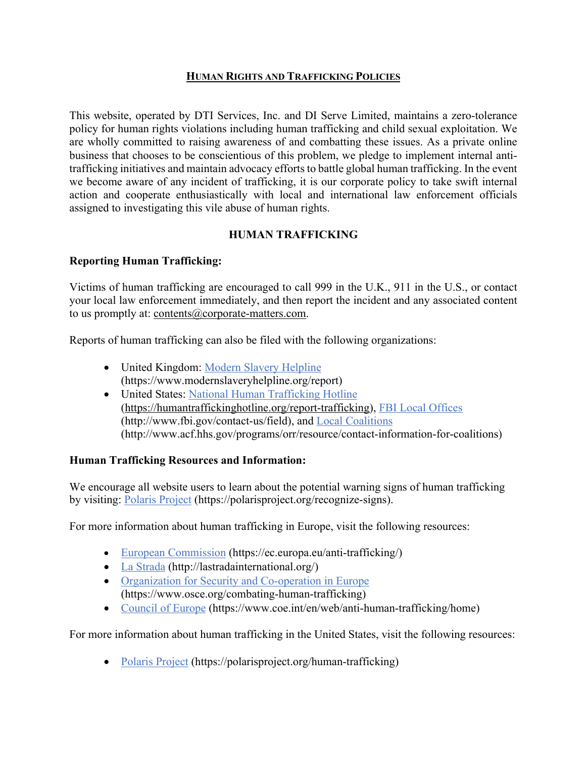## **HUMAN RIGHTS AND TRAFFICKING POLICIES**

This website, operated by DTI Services, Inc. and DI Serve Limited, maintains a zero-tolerance policy for human rights violations including human trafficking and child sexual exploitation. We are wholly committed to raising awareness of and combatting these issues. As a private online business that chooses to be conscientious of this problem, we pledge to implement internal antitrafficking initiatives and maintain advocacy efforts to battle global human trafficking. In the event we become aware of any incident of trafficking, it is our corporate policy to take swift internal action and cooperate enthusiastically with local and international law enforcement officials assigned to investigating this vile abuse of human rights.

# **HUMAN TRAFFICKING**

# **Reporting Human Trafficking:**

Victims of human trafficking are encouraged to call 999 in the U.K., 911 in the U.S., or contact your local law enforcement immediately, and then report the incident and any associated content to us promptly at: contents@corporate-matters.com.

Reports of human trafficking can also be filed with the following organizations:

- United Kingdom: Modern Slavery Helpline (https://www.modernslaveryhelpline.org/report)
- United States: National Human Trafficking Hotline (https://humantraffickinghotline.org/report-trafficking), FBI Local Offices (http://www.fbi.gov/contact-us/field), and Local Coalitions (http://www.acf.hhs.gov/programs/orr/resource/contact-information-for-coalitions)

# **Human Trafficking Resources and Information:**

We encourage all website users to learn about the potential warning signs of human trafficking by visiting: Polaris Project (https://polarisproject.org/recognize-signs).

For more information about human trafficking in Europe, visit the following resources:

- European Commission (https://ec.europa.eu/anti-trafficking/)
- La Strada (http://lastradainternational.org/)
- Organization for Security and Co-operation in Europe (https://www.osce.org/combating-human-trafficking)
- Council of Europe (https://www.coe.int/en/web/anti-human-trafficking/home)

For more information about human trafficking in the United States, visit the following resources:

• Polaris Project (https://polarisproject.org/human-trafficking)